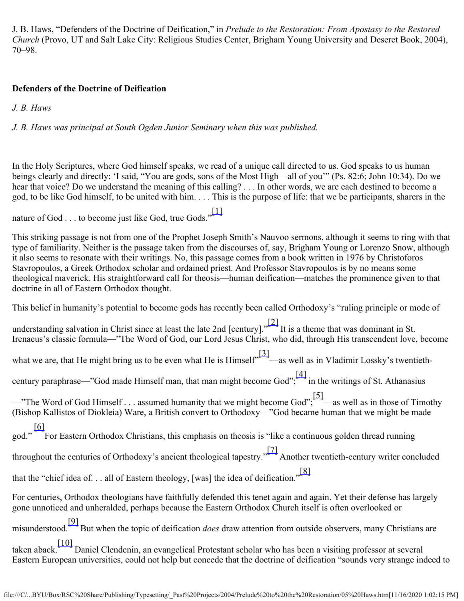J. B. Haws, "Defenders of the Doctrine of Deification," in *Prelude to the Restoration: From Apostasy to the Restored Church* (Provo, UT and Salt Lake City: Religious Studies Center, Brigham Young University and Deseret Book, 2004), 70–98.

# **Defenders of the Doctrine of Deification**

*J. B. Haws*

*J. B. Haws was principal at South Ogden Junior Seminary when this was published.*

In the Holy Scriptures, where God himself speaks, we read of a unique call directed to us. God speaks to us human beings clearly and directly: 'I said, "You are gods, sons of the Most High—all of you'" (Ps. 82:6; John 10:34). Do we hear that voice? Do we understand the meaning of this calling? . . . In other words, we are each destined to become a god, to be like God himself, to be united with him. . . . This is the purpose of life: that we be participants, sharers in the

<span id="page-0-0"></span>nature of God . . . to become just like God, true Gods."<sup>[1]</sup>

This striking passage is not from one of the Prophet Joseph Smith's Nauvoo sermons, although it seems to ring with that type of familiarity. Neither is the passage taken from the discourses of, say, Brigham Young or Lorenzo Snow, although it also seems to resonate with their writings. No, this passage comes from a book written in 1976 by Christoforos Stavropoulos, a Greek Orthodox scholar and ordained priest. And Professor Stavropoulos is by no means some theological maverick. His straightforward call for theosis—human deification—matches the prominence given to that doctrine in all of Eastern Orthodox thought.

This belief in humanity's potential to become gods has recently been called Orthodoxy's "ruling principle or mode of

<span id="page-0-5"></span><span id="page-0-4"></span><span id="page-0-3"></span><span id="page-0-2"></span><span id="page-0-1"></span>understanding salvation in Christ since at least the late 2nd [century].<sup>[\[2\]](#page-9-1)</sup> It is a theme that was dominant in St. Irenaeus's classic formula—"The Word of God, our Lord Jesus Christ, who did, through His transcendent love, become what we are, that He might bring us to be even what He is Himself"[\[3\]—](#page-9-2)as well as in Vladimir Lossky's twentiethcentury paraphrase—"God made Himself man, that man might become God";<sup>[4]</sup> in the writings of St. Athanasius —"The Word of God Himself . . . assumed humanity that we might become God";[\[5\]—](#page-9-4)as well as in those of Timothy (Bishop Kallistos of Diokleia) Ware, a British convert to Orthodoxy—"God became human that we might be made god." [\[6\]](#page-9-5) For Eastern Orthodox Christians, this emphasis on theosis is "like a continuous golden thread running throughout the centuries of Orthodoxy's ancient theological tapestry.["\[7\]](#page-9-6) Another twentieth-century writer concluded that the "chief idea of. . . all of Eastern theology, [was] the idea of deification."<sup>[\[8\]](#page-9-7)</sup> For centuries, Orthodox theologians have faithfully defended this tenet again and again. Yet their defense has largely gone unnoticed and unheralded, perhaps because the Eastern Orthodox Church itself is often overlooked or misunderstood.[\[9\]](#page-10-0) But when the topic of deification *does* draw attention from outside observers, many Christians are

<span id="page-0-9"></span><span id="page-0-8"></span><span id="page-0-7"></span><span id="page-0-6"></span>taken aback.<sup>[10]</sup> Daniel Clendenin, an evangelical Protestant scholar who has been a visiting professor at several Eastern European universities, could not help but concede that the doctrine of deification "sounds very strange indeed to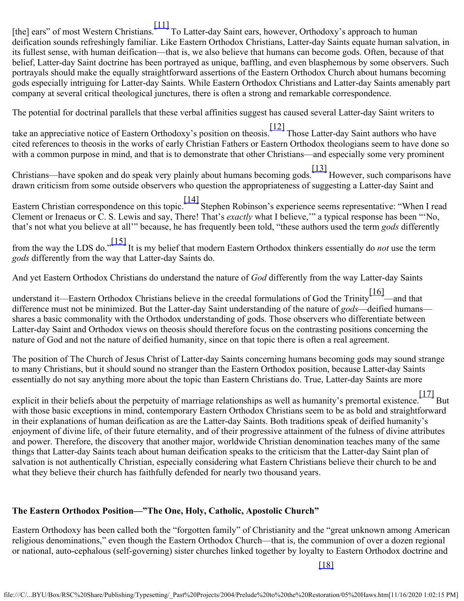<span id="page-1-0"></span>[11] To Latter-day Saint ears, however, Orthodoxy's approach to human<br>[11] To Latter-day Saint ears, however, Orthodoxy's approach to human deification sounds refreshingly familiar. Like Eastern Orthodox Christians, Latter-day Saints equate human salvation, in its fullest sense, with human deification—that is, we also believe that humans can become gods. Often, because of that belief, Latter-day Saint doctrine has been portrayed as unique, baffling, and even blasphemous by some observers. Such portrayals should make the equally straightforward assertions of the Eastern Orthodox Church about humans becoming gods especially intriguing for Latter-day Saints. While Eastern Orthodox Christians and Latter-day Saints amenably part company at several critical theological junctures, there is often a strong and remarkable correspondence.

The potential for doctrinal parallels that these verbal affinities suggest has caused several Latter-day Saint writers to

<span id="page-1-1"></span>take an appreciative notice of Eastern Orthodoxy's position on theosis.<sup>[\[12\]](#page-10-3)</sup> Those Latter-day Saint authors who have cited references to theosis in the works of early Christian Fathers or Eastern Orthodox theologians seem to have done so with a common purpose in mind, and that is to demonstrate that other Christians—and especially some very prominent

<span id="page-1-2"></span>Christians—have spoken and do speak very plainly about humans becoming gods[.\[13\]](#page-10-4) However, such comparisons have drawn criticism from some outside observers who question the appropriateness of suggesting a Latter-day Saint and

<span id="page-1-3"></span>Eastern Christian correspondence on this topic.<sup>[\[14\]](#page-10-5)</sup> Stephen Robinson's experience seems representative: "When I read Clement or Irenaeus or C. S. Lewis and say, There! That's *exactly* what I believe,'" a typical response has been "'No, that's not what you believe at all'" because, he has frequently been told, "these authors used the term *gods* differently

<span id="page-1-4"></span>from the way the LDS do."[\[15\]](#page-10-6) It is my belief that modern Eastern Orthodox thinkers essentially do *not* use the term *gods* differently from the way that Latter-day Saints do.

And yet Eastern Orthodox Christians do understand the nature of *God* differently from the way Latter-day Saints

<span id="page-1-5"></span>understand it—Eastern Orthodox Christians believe in the creedal formulations of God the Trinity<sup>[16]</sup>—and that difference must not be minimized. But the Latter-day Saint understanding of the nature of *gods*—deified humans shares a basic commonality with the Orthodox understanding of gods. Those observers who differentiate between Latter-day Saint and Orthodox views on theosis should therefore focus on the contrasting positions concerning the nature of God and not the nature of deified humanity, since on that topic there is often a real agreement.

The position of The Church of Jesus Christ of Latter-day Saints concerning humans becoming gods may sound strange to many Christians, but it should sound no stranger than the Eastern Orthodox position, because Latter-day Saints essentially do not say anything more about the topic than Eastern Christians do. True, Latter-day Saints are more

<span id="page-1-6"></span>explicit in their beliefs about the perpetuity of marriage relationships as well as humanity's premortal existence. But with those basic exceptions in mind, contemporary Eastern Orthodox Christians seem to be as bold and straightforward in their explanations of human deification as are the Latter-day Saints. Both traditions speak of deified humanity's enjoyment of divine life, of their future eternality, and of their progressive attainment of the fulness of divine attributes and power. Therefore, the discovery that another major, worldwide Christian denomination teaches many of the same things that Latter-day Saints teach about human deification speaks to the criticism that the Latter-day Saint plan of salvation is not authentically Christian, especially considering what Eastern Christians believe their church to be and what they believe their church has faithfully defended for nearly two thousand years.

### **The Eastern Orthodox Position—"The One, Holy, Catholic, Apostolic Church"**

Eastern Orthodoxy has been called both the "forgotten family" of Christianity and the "great unknown among American religious denominations," even though the Eastern Orthodox Church—that is, the communion of over a dozen regional or national, auto-cephalous (self-governing) sister churches linked together by loyalty to Eastern Orthodox doctrine and

[\[18\]](#page-11-1)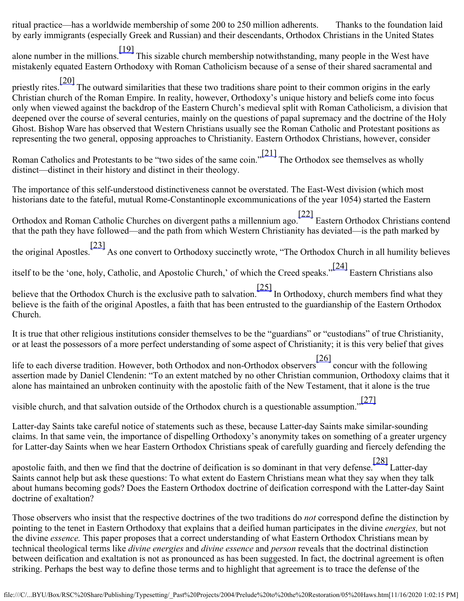<span id="page-2-0"></span>ritual practice—has a worldwide membership of some 200 to 250 million adherents. Thanks to the foundation laid by early immigrants (especially Greek and Russian) and their descendants, Orthodox Christians in the United States

<span id="page-2-1"></span>alone number in the millions.<sup>[19]</sup> This sizable church membership notwithstanding, many people in the West have mistakenly equated Eastern Orthodoxy with Roman Catholicism because of a sense of their shared sacramental and

<span id="page-2-2"></span>priestly rites.<sup>[20]</sup> The outward similarities that these two traditions share point to their common origins in the early Christian church of the Roman Empire. In reality, however, Orthodoxy's unique history and beliefs come into focus only when viewed against the backdrop of the Eastern Church's medieval split with Roman Catholicism, a division that deepened over the course of several centuries, mainly on the questions of papal supremacy and the doctrine of the Holy Ghost. Bishop Ware has observed that Western Christians usually see the Roman Catholic and Protestant positions as representing the two general, opposing approaches to Christianity. Eastern Orthodox Christians, however, consider

<span id="page-2-3"></span>Roman Catholics and Protestants to be "two sides of the same coin."<sup>[21]</sup> The Orthodox see themselves as wholly distinct—distinct in their history and distinct in their theology.

The importance of this self-understood distinctiveness cannot be overstated. The East-West division (which most historians date to the fateful, mutual Rome-Constantinople excommunications of the year 1054) started the Eastern

<span id="page-2-4"></span>Orthodox and Roman Catholic Churches on divergent paths a millennium ago.<sup>[22]</sup> Eastern Orthodox Christians contend that the path they have followed—and the path from which Western Christianity has deviated—is the path marked by

<span id="page-2-5"></span>the original Apostles.<sup>[\[23\]](#page-12-4)</sup> As one convert to Orthodoxy succinctly wrote, "The Orthodox Church in all humility believes

<span id="page-2-6"></span>itself to be the 'one, holy, Catholic, and Apostolic Church,' of which the Creed speaks."<sup>[24]</sup> Eastern Christians also

<span id="page-2-7"></span>believe that the Orthodox Church is the exclusive path to salvation.<sup>[\[25\]](#page-12-6)</sup> In Orthodoxy, church members find what they believe is the faith of the original Apostles, a faith that has been entrusted to the guardianship of the Eastern Orthodox Church.

It is true that other religious institutions consider themselves to be the "guardians" or "custodians" of true Christianity, or at least the possessors of a more perfect understanding of some aspect of Christianity; it is this very belief that gives

<span id="page-2-8"></span>life to each diverse tradition. However, both Orthodox and non-Orthodox observers<sup>[26]</sup> concur with the following assertion made by Daniel Clendenin: "To an extent matched by no other Christian communion, Orthodoxy claims that it alone has maintained an unbroken continuity with the apostolic faith of the New Testament, that it alone is the true

<span id="page-2-9"></span>visible church, and that salvation outside of the Orthodox church is a questionable assumption." $[27]$ 

Latter-day Saints take careful notice of statements such as these, because Latter-day Saints make similar-sounding claims. In that same vein, the importance of dispelling Orthodoxy's anonymity takes on something of a greater urgency for Latter-day Saints when we hear Eastern Orthodox Christians speak of carefully guarding and fiercely defending the

<span id="page-2-10"></span>apostolic faith, and then we find that the doctrine of deification is so dominant in that very defense.  $\begin{bmatrix} 28 \\ 28 \end{bmatrix}$  Latter-day Saints cannot help but ask these questions: To what extent do Eastern Christians mean what they say when they talk about humans becoming gods? Does the Eastern Orthodox doctrine of deification correspond with the Latter-day Saint doctrine of exaltation?

Those observers who insist that the respective doctrines of the two traditions do *not* correspond define the distinction by pointing to the tenet in Eastern Orthodoxy that explains that a deified human participates in the divine *energies,* but not the divine *essence.* This paper proposes that a correct understanding of what Eastern Orthodox Christians mean by technical theological terms like *divine energies* and *divine essence* and *person* reveals that the doctrinal distinction between deification and exaltation is not as pronounced as has been suggested. In fact, the doctrinal agreement is often striking. Perhaps the best way to define those terms and to highlight that agreement is to trace the defense of the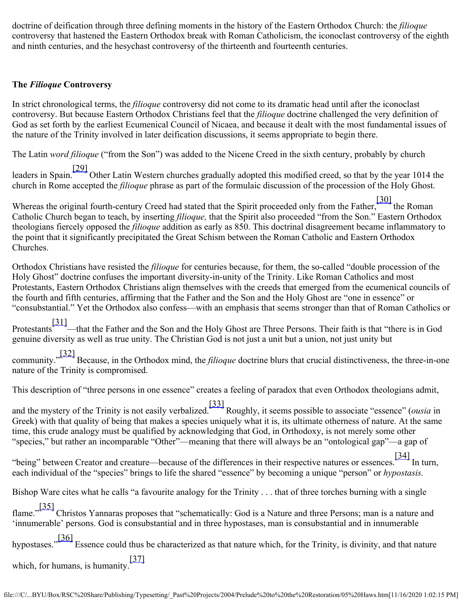doctrine of deification through three defining moments in the history of the Eastern Orthodox Church: the *filioque* controversy that hastened the Eastern Orthodox break with Roman Catholicism, the iconoclast controversy of the eighth and ninth centuries, and the hesychast controversy of the thirteenth and fourteenth centuries.

# **The** *Filioque* **Controversy**

In strict chronological terms, the *filioque* controversy did not come to its dramatic head until after the iconoclast controversy. But because Eastern Orthodox Christians feel that the *filioque* doctrine challenged the very definition of God as set forth by the earliest Ecumenical Council of Nicaea, and because it dealt with the most fundamental issues of the nature of the Trinity involved in later deification discussions, it seems appropriate to begin there.

The Latin *word filioque* ("from the Son") was added to the Nicene Creed in the sixth century, probably by church

<span id="page-3-0"></span>leaders in Spain.[\[29\]](#page-12-10) Other Latin Western churches gradually adopted this modified creed, so that by the year 1014 the church in Rome accepted the *filioque* phrase as part of the formulaic discussion of the procession of the Holy Ghost.

<span id="page-3-1"></span>Whereas the original fourth-century Creed had stated that the Spirit proceeded only from the Father, the Roman Catholic Church began to teach, by inserting *filioque,* that the Spirit also proceeded "from the Son." Eastern Orthodox theologians fiercely opposed the *filioque* addition as early as 850. This doctrinal disagreement became inflammatory to the point that it significantly precipitated the Great Schism between the Roman Catholic and Eastern Orthodox Churches.

Orthodox Christians have resisted the *filioque* for centuries because, for them, the so-called "double procession of the Holy Ghost" doctrine confuses the important diversity-in-unity of the Trinity. Like Roman Catholics and most Protestants, Eastern Orthodox Christians align themselves with the creeds that emerged from the ecumenical councils of the fourth and fifth centuries, affirming that the Father and the Son and the Holy Ghost are "one in essence" or "consubstantial." Yet the Orthodox also confess—with an emphasis that seems stronger than that of Roman Catholics or

<span id="page-3-2"></span>Protestants<sup>[31]</sup>—that the Father and the Son and the Holy Ghost are Three Persons. Their faith is that "there is in God genuine diversity as well as true unity. The Christian God is not just a unit but a union, not just unity but

<span id="page-3-3"></span>community.["\[32\]](#page-13-0) Because, in the Orthodox mind, the *filioque* doctrine blurs that crucial distinctiveness, the three-in-one nature of the Trinity is compromised.

This description of "three persons in one essence" creates a feeling of paradox that even Orthodox theologians admit,

<span id="page-3-4"></span>and the mystery of the Trinity is not easily verbalized.<sup>[\[33\]](#page-13-1)</sup> Roughly, it seems possible to associate "essence" (*ousia* in Greek) with that quality of being that makes a species uniquely what it is, its ultimate otherness of nature. At the same time, this crude analogy must be qualified by acknowledging that God, in Orthodoxy, is not merely some other "species," but rather an incomparable "Other"—meaning that there will always be an "ontological gap"—a gap of

<span id="page-3-5"></span>"being" between Creator and creature—because of the differences in their respective natures or essences.<sup>[34]</sup> In turn, each individual of the "species" brings to life the shared "essence" by becoming a unique "person" or *hypostasis.*

Bishop Ware cites what he calls "a favourite analogy for the Trinity . . . that of three torches burning with a single

<span id="page-3-6"></span>flame.["\[35\]](#page-13-3) Christos Yannaras proposes that "schematically: God is a Nature and three Persons; man is a nature and 'innumerable' persons. God is consubstantial and in three hypostases, man is consubstantial and in innumerable

<span id="page-3-7"></span>hypostases."<sup>[36]</sup> Essence could thus be characterized as that nature which, for the Trinity, is divinity, and that nature

<span id="page-3-8"></span>which, for humans, is humanity.<sup>[\[37\]](#page-13-5)</sup>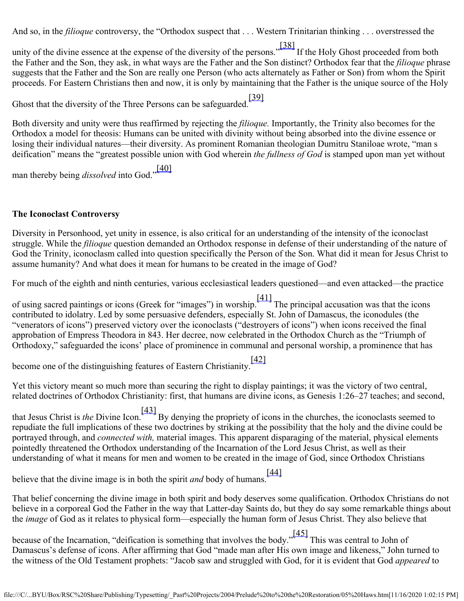And so, in the *filioque* controversy, the "Orthodox suspect that . . . Western Trinitarian thinking . . . overstressed the

<span id="page-4-0"></span>unity of the divine essence at the expense of the diversity of the persons.<sup>[38]</sup> If the Holy Ghost proceeded from both the Father and the Son, they ask, in what ways are the Father and the Son distinct? Orthodox fear that the *filioque* phrase suggests that the Father and the Son are really one Person (who acts alternately as Father or Son) from whom the Spirit proceeds. For Eastern Christians then and now, it is only by maintaining that the Father is the unique source of the Holy

<span id="page-4-1"></span>Ghost that the diversity of the Three Persons can be safeguarded.<sup>[39]</sup>

Both diversity and unity were thus reaffirmed by rejecting the *filioque.* Importantly, the Trinity also becomes for the Orthodox a model for theosis: Humans can be united with divinity without being absorbed into the divine essence or losing their individual natures—their diversity. As prominent Romanian theologian Dumitru Staniloae wrote, "man s deification" means the "greatest possible union with God wherein *the fullness of God* is stamped upon man yet without

<span id="page-4-2"></span>man thereby being *dissolved* into God."<sup>[\[40\]](#page-13-8)</sup>

### **The Iconoclast Controversy**

Diversity in Personhood, yet unity in essence, is also critical for an understanding of the intensity of the iconoclast struggle. While the *filioque* question demanded an Orthodox response in defense of their understanding of the nature of God the Trinity, iconoclasm called into question specifically the Person of the Son. What did it mean for Jesus Christ to assume humanity? And what does it mean for humans to be created in the image of God?

For much of the eighth and ninth centuries, various ecclesiastical leaders questioned—and even attacked—the practice

<span id="page-4-3"></span>of using sacred paintings or icons (Greek for "images") in worship.[\[41\]](#page-13-9) The principal accusation was that the icons contributed to idolatry. Led by some persuasive defenders, especially St. John of Damascus, the iconodules (the "venerators of icons") preserved victory over the iconoclasts ("destroyers of icons") when icons received the final approbation of Empress Theodora in 843. Her decree, now celebrated in the Orthodox Church as the "Triumph of Orthodoxy," safeguarded the icons' place of prominence in communal and personal worship, a prominence that has

<span id="page-4-4"></span>become one of the distinguishing features of Eastern Christianity.<sup>[42]</sup>

Yet this victory meant so much more than securing the right to display paintings; it was the victory of two central, related doctrines of Orthodox Christianity: first, that humans are divine icons, as Genesis 1:26–27 teaches; and second,

<span id="page-4-5"></span>that Jesus Christ is *the* Divine Icon.<sup>[43]</sup> By denying the propriety of icons in the churches, the iconoclasts seemed to repudiate the full implications of these two doctrines by striking at the possibility that the holy and the divine could be portrayed through, and *connected with,* material images. This apparent disparaging of the material, physical elements pointedly threatened the Orthodox understanding of the Incarnation of the Lord Jesus Christ, as well as their understanding of what it means for men and women to be created in the image of God, since Orthodox Christians

<span id="page-4-6"></span>believe that the divine image is in both the spirit *and* body of humans.<sup>[44]</sup>

That belief concerning the divine image in both spirit and body deserves some qualification. Orthodox Christians do not believe in a corporeal God the Father in the way that Latter-day Saints do, but they do say some remarkable things about the *image* of God as it relates to physical form—especially the human form of Jesus Christ. They also believe that

<span id="page-4-7"></span>because of the Incarnation, "deification is something that involves the body."[\[45\]](#page-13-13) This was central to John of Damascus's defense of icons. After affirming that God "made man after His own image and likeness," John turned to the witness of the Old Testament prophets: "Jacob saw and struggled with God, for it is evident that God *appeared* to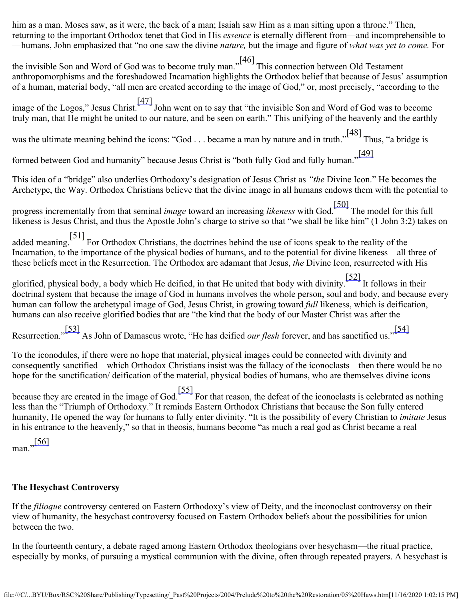him as a man. Moses saw, as it were, the back of a man; Isaiah saw Him as a man sitting upon a throne." Then, returning to the important Orthodox tenet that God in His *essence* is eternally different from—and incomprehensible to —humans, John emphasized that "no one saw the divine *nature,* but the image and figure of *what was yet to come.* For

<span id="page-5-0"></span>the invisible Son and Word of God was to become truly man.<sup>["\[46\]](#page-13-14)</sup> This connection between Old Testament anthropomorphisms and the foreshadowed Incarnation highlights the Orthodox belief that because of Jesus' assumption of a human, material body, "all men are created according to the image of God," or, most precisely, "according to the

<span id="page-5-1"></span>image of the Logos," Jesus Christ.<sup>[47]</sup> John went on to say that "the invisible Son and Word of God was to become truly man, that He might be united to our nature, and be seen on earth." This unifying of the heavenly and the earthly

<span id="page-5-2"></span>was the ultimate meaning behind the icons: "God . . . became a man by nature and in truth."<sup>[48]</sup> Thus, "a bridge is

<span id="page-5-3"></span>formed between God and humanity" because Jesus Christ is "both fully God and fully human."<sup>[\[49\]](#page-14-1)</sup>

This idea of a "bridge" also underlies Orthodoxy's designation of Jesus Christ as *"the* Divine Icon." He becomes the Archetype, the Way. Orthodox Christians believe that the divine image in all humans endows them with the potential to

<span id="page-5-4"></span>progress incrementally from that seminal *image* toward an increasing *likeness* with God.<sup>[\[50\]](#page-14-2)</sup> The model for this full likeness is Jesus Christ, and thus the Apostle John's charge to strive so that "we shall be like him" (1 John 3:2) takes on

<span id="page-5-5"></span>added meaning.<sup>[\[51\]](#page-14-3)</sup> For Orthodox Christians, the doctrines behind the use of icons speak to the reality of the Incarnation, to the importance of the physical bodies of humans, and to the potential for divine likeness—all three of these beliefs meet in the Resurrection. The Orthodox are adamant that Jesus, *the* Divine Icon, resurrected with His

<span id="page-5-6"></span>glorified, physical body, a body which He deified, in that He united that body with divinity.<sup>[52]</sup> It follows in their doctrinal system that because the image of God in humans involves the whole person, soul and body, and because every human can follow the archetypal image of God, Jesus Christ, in growing toward *full* likeness, which is deification, humans can also receive glorified bodies that are "the kind that the body of our Master Christ was after the

<span id="page-5-7"></span>Resurrection.["\[53\]](#page-14-5) As John of Damascus wrote, "He has deified *our flesh* forever, and has sanctified us.["\[54\]](#page-14-6)

To the iconodules, if there were no hope that material, physical images could be connected with divinity and consequently sanctified—which Orthodox Christians insist was the fallacy of the iconoclasts—then there would be no hope for the sanctification/ deification of the material, physical bodies of humans, who are themselves divine icons

<span id="page-5-8"></span>because they are created in the image of God.<sup>[55]</sup> For that reason, the defeat of the iconoclasts is celebrated as nothing less than the "Triumph of Orthodoxy." It reminds Eastern Orthodox Christians that because the Son fully entered humanity, He opened the way for humans to fully enter divinity. "It is the possibility of every Christian to *imitate* Jesus in his entrance to the heavenly," so that in theosis, humans become "as much a real god as Christ became a real

<span id="page-5-9"></span>man."<sup>[\[56\]](#page-14-8)</sup>

# **The Hesychast Controversy**

If the *filioque* controversy centered on Eastern Orthodoxy's view of Deity, and the inconoclast controversy on their view of humanity, the hesychast controversy focused on Eastern Orthodox beliefs about the possibilities for union between the two.

In the fourteenth century, a debate raged among Eastern Orthodox theologians over hesychasm—the ritual practice, especially by monks, of pursuing a mystical communion with the divine, often through repeated prayers. A hesychast is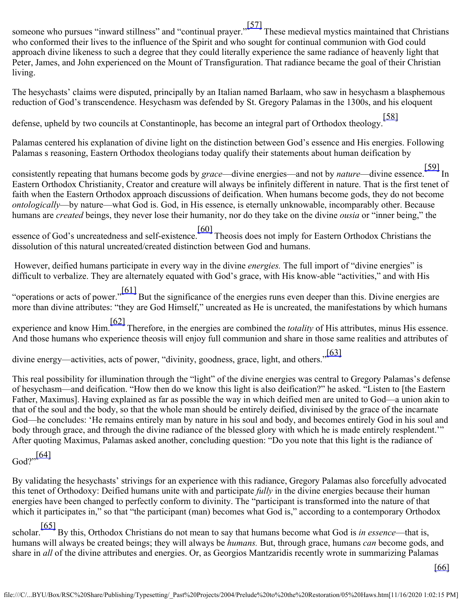<span id="page-6-0"></span>someone who pursues "inward stillness" and "continual prayer."<sup>[\[57\]](#page-14-9)</sup> These medieval mystics maintained that Christians who conformed their lives to the influence of the Spirit and who sought for continual communion with God could approach divine likeness to such a degree that they could literally experience the same radiance of heavenly light that Peter, James, and John experienced on the Mount of Transfiguration. That radiance became the goal of their Christian living.

The hesychasts' claims were disputed, principally by an Italian named Barlaam, who saw in hesychasm a blasphemous reduction of God's transcendence. Hesychasm was defended by St. Gregory Palamas in the 1300s, and his eloquent

<span id="page-6-1"></span>defense, upheld by two councils at Constantinople, has become an integral part of Orthodox theology.<sup>[58]</sup>

Palamas centered his explanation of divine light on the distinction between God's essence and His energies. Following Palamas s reasoning, Eastern Orthodox theologians today qualify their statements about human deification by

<span id="page-6-2"></span>consistently repeating that humans become gods by *grace*—divine energies—and not by *nature*—divine essence.<sup>[59]</sup> In Eastern Orthodox Christianity, Creator and creature will always be infinitely different in nature. That is the first tenet of faith when the Eastern Orthodox approach discussions of deification. When humans become gods, they do not become *ontologically*—by nature—what God is. God, in His essence, is eternally unknowable, incomparably other. Because humans are *created* beings, they never lose their humanity, nor do they take on the divine *ousia* or "inner being," the

<span id="page-6-3"></span>essence of God's uncreatedness and self-existence. [\[60\]](#page-14-12) Theosis does not imply for Eastern Orthodox Christians the dissolution of this natural uncreated/created distinction between God and humans.

However, deified humans participate in every way in the divine *energies.* The full import of "divine energies" is difficult to verbalize. They are alternately equated with God's grace, with His know-able "activities," and with His

<span id="page-6-4"></span>"operations or acts of power."<sup>[61]</sup> But the significance of the energies runs even deeper than this. Divine energies are more than divine attributes: "they are God Himself," uncreated as He is uncreated, the manifestations by which humans

<span id="page-6-5"></span>experience and know Him[.\[62\]](#page-14-14) Therefore, in the energies are combined the *totality* of His attributes, minus His essence. And those humans who experience theosis will enjoy full communion and share in those same realities and attributes of

<span id="page-6-6"></span>divine energy—activities, acts of power, "divinity, goodness, grace, light, and others."<sup>[\[63\]](#page-14-15)</sup>

This real possibility for illumination through the "light" of the divine energies was central to Gregory Palamas's defense of hesychasm—and deification. "How then do we know this light is also deification?" he asked. "Listen to [the Eastern Father, Maximus]. Having explained as far as possible the way in which deified men are united to God—a union akin to that of the soul and the body, so that the whole man should be entirely deified, divinised by the grace of the incarnate God—he concludes: 'He remains entirely man by nature in his soul and body, and becomes entirely God in his soul and body through grace, and through the divine radiance of the blessed glory with which he is made entirely resplendent.'" After quoting Maximus, Palamas asked another, concluding question: "Do you note that this light is the radiance of

<span id="page-6-7"></span>God?", [\[64\]](#page-15-0)

By validating the hesychasts' strivings for an experience with this radiance, Gregory Palamas also forcefully advocated this tenet of Orthodoxy: Deified humans unite with and participate *fully* in the divine energies because their human energies have been changed to perfectly conform to divinity. The "participant is transformed into the nature of that which it participates in," so that "the participant (man) becomes what God is," according to a contemporary Orthodox

<span id="page-6-8"></span>scholar.[\[65\]](#page-15-1) By this, Orthodox Christians do not mean to say that humans become what God is *in essence*—that is, humans will always be created beings; they will always be *humans.* But, through grace, humans *can* become gods, and share in *all* of the divine attributes and energies. Or, as Georgios Mantzaridis recently wrote in summarizing Palamas

[\[66\]](#page-15-2)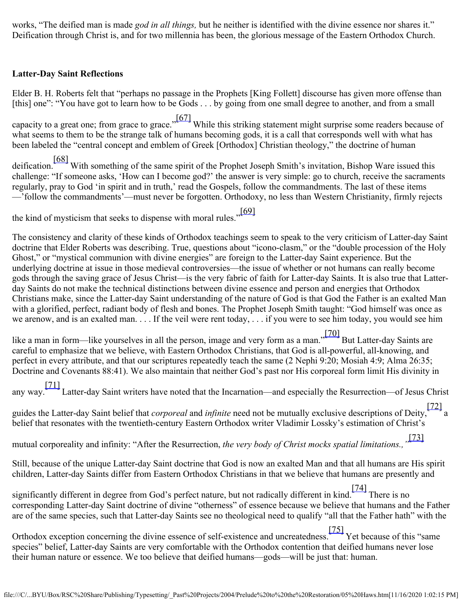<span id="page-7-0"></span>works, "The deified man is made *god in all things,* but he neither is identified with the divine essence nor shares it." Deification through Christ is, and for two millennia has been, the glorious message of the Eastern Orthodox Church.

### **Latter-Day Saint Reflections**

Elder B. H. Roberts felt that "perhaps no passage in the Prophets [King Follett] discourse has given more offense than [this] one": "You have got to learn how to be Gods . . . by going from one small degree to another, and from a small

<span id="page-7-1"></span>capacity to a great one; from grace to grace."<sup>[67]</sup> While this striking statement might surprise some readers because of what seems to them to be the strange talk of humans becoming gods, it is a call that corresponds well with what has been labeled the "central concept and emblem of Greek [Orthodox] Christian theology," the doctrine of human

<span id="page-7-2"></span>deification.<sup>[68]</sup> With something of the same spirit of the Prophet Joseph Smith's invitation, Bishop Ware issued this challenge: "If someone asks, 'How can I become god?' the answer is very simple: go to church, receive the sacraments regularly, pray to God 'in spirit and in truth,' read the Gospels, follow the commandments. The last of these items —'follow the commandments'—must never be forgotten. Orthodoxy, no less than Western Christianity, firmly rejects

<span id="page-7-3"></span>the kind of mysticism that seeks to dispense with moral rules."<sup>[\[69\]](#page-15-5)</sup>

The consistency and clarity of these kinds of Orthodox teachings seem to speak to the very criticism of Latter-day Saint doctrine that Elder Roberts was describing. True, questions about "icono-clasm," or the "double procession of the Holy Ghost," or "mystical communion with divine energies" are foreign to the Latter-day Saint experience. But the underlying doctrine at issue in those medieval controversies—the issue of whether or not humans can really become gods through the saving grace of Jesus Christ—is the very fabric of faith for Latter-day Saints. It is also true that Latterday Saints do not make the technical distinctions between divine essence and person and energies that Orthodox Christians make, since the Latter-day Saint understanding of the nature of God is that God the Father is an exalted Man with a glorified, perfect, radiant body of flesh and bones. The Prophet Joseph Smith taught: "God himself was once as we arenow, and is an exalted man. . . . If the veil were rent today, . . . if you were to see him today, you would see him

<span id="page-7-4"></span>like a man in form—like yourselves in all the person, image and very form as a man."<sup>[\[70\]](#page-15-6)</sup> But Latter-day Saints are careful to emphasize that we believe, with Eastern Orthodox Christians, that God is all-powerful, all-knowing, and perfect in every attribute, and that our scriptures repeatedly teach the same (2 Nephi 9:20; Mosiah 4:9; Alma 26:35; Doctrine and Covenants 88:41). We also maintain that neither God's past nor His corporeal form limit His divinity in

<span id="page-7-5"></span>any way. [\[71\]](#page-15-7) Latter-day Saint writers have noted that the Incarnation—and especially the Resurrection—of Jesus Christ

<span id="page-7-6"></span>guides the Latter-day Saint belief that *corporeal* and *infinite* need not be mutually exclusive descriptions of Deity,[\[72\]](#page-15-8) a belief that resonates with the twentieth-century Eastern Orthodox writer Vladimir Lossky's estimation of Christ's

<span id="page-7-7"></span>mutual corporeality and infinity: "After the Resurrection, *the very body of Christ mocks spatial limitations.,"*[\[73\]](#page-15-9)

Still, because of the unique Latter-day Saint doctrine that God is now an exalted Man and that all humans are His spirit children, Latter-day Saints differ from Eastern Orthodox Christians in that we believe that humans are presently and

<span id="page-7-8"></span>significantly different in degree from God's perfect nature, but not radically different in kind.<sup>[74]</sup> There is no corresponding Latter-day Saint doctrine of divine "otherness" of essence because we believe that humans and the Father are of the same species, such that Latter-day Saints see no theological need to qualify "all that the Father hath" with the

<span id="page-7-9"></span>Orthodox exception concerning the divine essence of self-existence and uncreatedness.<sup>[\[75\]](#page-15-11)</sup> Yet because of this "same species" belief, Latter-day Saints are very comfortable with the Orthodox contention that deified humans never lose their human nature or essence. We too believe that deified humans—gods—will be just that: human.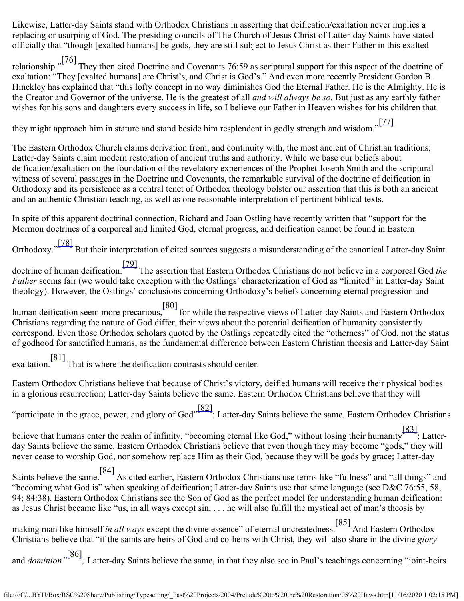Likewise, Latter-day Saints stand with Orthodox Christians in asserting that deification/exaltation never implies a replacing or usurping of God. The presiding councils of The Church of Jesus Christ of Latter-day Saints have stated officially that "though [exalted humans] be gods, they are still subject to Jesus Christ as their Father in this exalted

<span id="page-8-0"></span>relationship."<sup>[\[76\]](#page-15-12)</sup> They then cited Doctrine and Covenants 76:59 as scriptural support for this aspect of the doctrine of exaltation: "They [exalted humans] are Christ's, and Christ is God's." And even more recently President Gordon B. Hinckley has explained that "this lofty concept in no way diminishes God the Eternal Father. He is the Almighty. He is the Creator and Governor of the universe. He is the greatest of all *and will always be so.* But just as any earthly father wishes for his sons and daughters every success in life, so I believe our Father in Heaven wishes for his children that

<span id="page-8-1"></span>they might approach him in stature and stand beside him resplendent in godly strength and wisdom."[\[77\]](#page-15-13)

The Eastern Orthodox Church claims derivation from, and continuity with, the most ancient of Christian traditions; Latter-day Saints claim modern restoration of ancient truths and authority. While we base our beliefs about deification/exaltation on the foundation of the revelatory experiences of the Prophet Joseph Smith and the scriptural witness of several passages in the Doctrine and Covenants, the remarkable survival of the doctrine of deification in Orthodoxy and its persistence as a central tenet of Orthodox theology bolster our assertion that this is both an ancient and an authentic Christian teaching, as well as one reasonable interpretation of pertinent biblical texts.

In spite of this apparent doctrinal connection, Richard and Joan Ostling have recently written that "support for the Mormon doctrines of a corporeal and limited God, eternal progress, and deification cannot be found in Eastern

<span id="page-8-2"></span>Orthodoxy."<sup>[78]</sup> But their interpretation of cited sources suggests a misunderstanding of the canonical Latter-day Saint

<span id="page-8-3"></span>doctrine of human deification[.\[79\]](#page-16-1) The assertion that Eastern Orthodox Christians do not believe in a corporeal God *the Father* seems fair (we would take exception with the Ostlings' characterization of God as "limited" in Latter-day Saint theology). However, the Ostlings' conclusions concerning Orthodoxy's beliefs concerning eternal progression and

<span id="page-8-4"></span>human deification seem more precarious,<sup>[80]</sup> for while the respective views of Latter-day Saints and Eastern Orthodox Christians regarding the nature of God differ, their views about the potential deification of humanity consistently correspond. Even those Orthodox scholars quoted by the Ostlings repeatedly cited the "otherness" of God, not the status of godhood for sanctified humans, as the fundamental difference between Eastern Christian theosis and Latter-day Saint

<span id="page-8-5"></span>exaltation[.\[81\]](#page-16-3) That is where the deification contrasts should center.

Eastern Orthodox Christians believe that because of Christ's victory, deified humans will receive their physical bodies in a glorious resurrection; Latter-day Saints believe the same. Eastern Orthodox Christians believe that they will

<span id="page-8-6"></span>"participate in the grace, power, and glory of God"<br>thatter-day Saints believe the same. Eastern Orthodox Christians"

<span id="page-8-7"></span>believe that humans enter the realm of infinity, "becoming eternal like God," without losing their humanity<sup>[\[83\]](#page-16-5)</sup>; Latterday Saints believe the same. Eastern Orthodox Christians believe that even though they may become "gods," they will never cease to worship God, nor somehow replace Him as their God, because they will be gods by grace; Latter-day

<span id="page-8-8"></span>Saints believe the same.<sup>[84]</sup> As cited earlier, Eastern Orthodox Christians use terms like "fullness" and "all things" and "becoming what God is" when speaking of deification; Latter-day Saints use that same language (see D&C 76:55, 58, 94; 84:38). Eastern Orthodox Christians see the Son of God as the perfect model for understanding human deification: as Jesus Christ became like "us, in all ways except sin, . . . he will also fulfill the mystical act of man's theosis by

<span id="page-8-9"></span>making man like himself *in all ways* except the divine essence" of eternal uncreatedness.<sup>[85]</sup> And Eastern Orthodox Christians believe that "if the saints are heirs of God and co-heirs with Christ, they will also share in the divine *glory*

<span id="page-8-10"></span>and *dominion"*[\[86\]](#page-16-8) *;* Latter-day Saints believe the same, in that they also see in Paul's teachings concerning "joint-heirs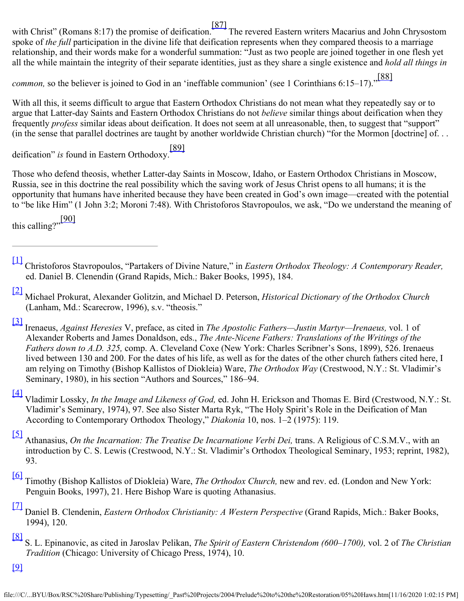<span id="page-9-8"></span>with Christ" (Romans 8:17) the promise of deification.<sup>[87]</sup> The revered Eastern writers Macarius and John Chrysostom spoke of *the full* participation in the divine life that deification represents when they compared theosis to a marriage relationship, and their words make for a wonderful summation: "Just as two people are joined together in one flesh yet all the while maintain the integrity of their separate identities, just as they share a single existence and *hold all things in*

<span id="page-9-9"></span>*common*, so the believer is joined to God in an 'ineffable communion' (see 1 Corinthians 6:15–17).<sup>[88]</sup>

With all this, it seems difficult to argue that Eastern Orthodox Christians do not mean what they repeatedly say or to argue that Latter-day Saints and Eastern Orthodox Christians do not *believe* similar things about deification when they frequently *profess* similar ideas about deification. It does not seem at all unreasonable, then, to suggest that "support" (in the sense that parallel doctrines are taught by another worldwide Christian church) "for the Mormon [doctrine] of. . .

<span id="page-9-10"></span>deification" *is* found in Eastern Orthodoxy.[\[89\]](#page-16-11)

Those who defend theosis, whether Latter-day Saints in Moscow, Idaho, or Eastern Orthodox Christians in Moscow, Russia, see in this doctrine the real possibility which the saving work of Jesus Christ opens to all humans; it is the opportunity that humans have inherited because they have been created in God's own image—created with the potential to "be like Him" (1 John 3:2; Moroni 7:48). With Christoforos Stavropoulos, we ask, "Do we understand the meaning of

<span id="page-9-11"></span>this calling?" $\frac{[90]}{[90]}$ 

<span id="page-9-2"></span>[\[3\]](#page-0-2) Irenaeus, *Against Heresies* V, preface, as cited in *The Apostolic Fathers—Justin Martyr—Irenaeus,* vol. 1 of Alexander Roberts and James Donaldson, eds., *The Ante-Nicene Fathers: Translations of the Writings of the Fathers down to A.D. 325,* comp. A. Cleveland Coxe (New York: Charles Scribner's Sons, 1899), 526. Irenaeus lived between 130 and 200. For the dates of his life, as well as for the dates of the other church fathers cited here, I am relying on Timothy (Bishop Kallistos of Diokleia) Ware, *The Orthodox Way* (Crestwood, N.Y.: St. Vladimir's Seminary, 1980), in his section "Authors and Sources," 186–94.

<span id="page-9-3"></span>[\[4\]](#page-0-3) Vladimir Lossky, *In the Image and Likeness of God,* ed. John H. Erickson and Thomas E. Bird (Crestwood, N.Y.: St. Vladimir's Seminary, 1974), 97. See also Sister Marta Ryk, "The Holy Spirit's Role in the Deification of Man According to Contemporary Orthodox Theology," *Diakonia* 10, nos. 1–2 (1975): 119.

<span id="page-9-4"></span>[\[5\]](#page-0-4) Athanasius, *On the Incarnation: The Treatise De Incarnatione Verbi Dei,* trans. A Religious of C.S.M.V., with an introduction by C. S. Lewis (Crestwood, N.Y.: St. Vladimir's Orthodox Theological Seminary, 1953; reprint, 1982), 93.

<span id="page-9-5"></span>[\[6\]](#page-0-5) Timothy (Bishop Kallistos of Diokleia) Ware, *The Orthodox Church,* new and rev. ed. (London and New York: Penguin Books, 1997), 21. Here Bishop Ware is quoting Athanasius.

<span id="page-9-6"></span>[\[7\]](#page-0-6) Daniel B. Clendenin, *Eastern Orthodox Christianity: A Western Perspective* (Grand Rapids, Mich.: Baker Books, 1994), 120.

<span id="page-9-7"></span>[\[8\]](#page-0-7) S. L. Epinanovic, as cited in Jaroslav Pelikan, *The Spirit of Eastern Christendom (600–1700),* vol. 2 of *The Christian Tradition* (Chicago: University of Chicago Press, 1974), 10.

[\[9\]](#page-0-8)

<span id="page-9-0"></span>[<sup>\[1\]</sup>](#page-0-0) Christoforos Stavropoulos, "Partakers of Divine Nature," in *Eastern Orthodox Theology: A Contemporary Reader,* ed. Daniel B. Clenendin (Grand Rapids, Mich.: Baker Books, 1995), 184.

<span id="page-9-1"></span>[<sup>\[2\]</sup>](#page-0-1) Michael Prokurat, Alexander Golitzin, and Michael D. Peterson, *Historical Dictionary of the Orthodox Church* (Lanham, Md.: Scarecrow, 1996), s.v. "theosis."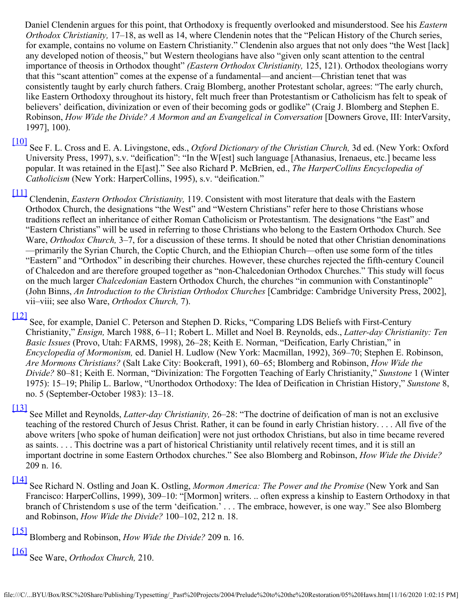<span id="page-10-0"></span> Daniel Clendenin argues for this point, that Orthodoxy is frequently overlooked and misunderstood. See his *Eastern Orthodox Christianity,* 17–18, as well as 14, where Clendenin notes that the "Pelican History of the Church series, for example, contains no volume on Eastern Christianity." Clendenin also argues that not only does "the West [lack] any developed notion of theosis," but Western theologians have also "given only scant attention to the central importance of theosis in Orthodox thought" *(Eastern Orthodox Christianity,* 125, 121). Orthodox theologians worry that this "scant attention" comes at the expense of a fundamental—and ancient—Christian tenet that was consistently taught by early church fathers. Craig Blomberg, another Protestant scholar, agrees: "The early church, like Eastern Orthodoxy throughout its history, felt much freer than Protestantism or Catholicism has felt to speak of believers' deification, divinization or even of their becoming gods or godlike" (Craig J. Blomberg and Stephen E. Robinson, *How Wide the Divide? A Mormon and an Evangelical in Conversation* [Downers Grove, III: InterVarsity, 1997], 100).

<span id="page-10-1"></span>[\[10\]](#page-0-9) See F. L. Cross and E. A. Livingstone, eds., *Oxford Dictionary of the Christian Church,* 3d ed. (New York: Oxford University Press, 1997), s.v. "deification": "In the W[est] such language [Athanasius, Irenaeus, etc.] became less popular. It was retained in the E[ast]." See also Richard P. McBrien, ed., *The HarperCollins Encyclopedia of Catholicism* (New York: HarperCollins, 1995), s.v. "deification."

<span id="page-10-2"></span>[\[11\]](#page-1-0) Clendenin, *Eastern Orthodox Christianity,* 119. Consistent with most literature that deals with the Eastern Orthodox Church, the designations "the West" and "Western Christians" refer here to those Christians whose traditions reflect an inheritance of either Roman Catholicism or Protestantism. The designations "the East" and "Eastern Christians" will be used in referring to those Christians who belong to the Eastern Orthodox Church. See Ware, *Orthodox Church,* 3–7, for a discussion of these terms. It should be noted that other Christian denominations —primarily the Syrian Church, the Coptic Church, and the Ethiopian Church—often use some form of the titles "Eastern" and "Orthodox" in describing their churches. However, these churches rejected the fifth-century Council of Chalcedon and are therefore grouped together as "non-Chalcedonian Orthodox Churches." This study will focus on the much larger *Chalcedonian* Eastern Orthodox Church, the churches "in communion with Constantinople" (John Binns, *An Introduction to the Christian Orthodox Churches* [Cambridge: Cambridge University Press, 2002], vii–viii; see also Ware, *Orthodox Church,* 7).

<span id="page-10-3"></span>[\[12\]](#page-1-1) See, for example, Daniel C. Peterson and Stephen D. Ricks, "Comparing LDS Beliefs with First-Century Christianity," *Ensign,* March 1988, 6–11; Robert L. Millet and Noel B. Reynolds, eds., *Latter-day Christianity: Ten Basic Issues* (Provo, Utah: FARMS, 1998), 26–28; Keith E. Norman, "Deification, Early Christian," in *Encyclopedia of Mormonism,* ed. Daniel H. Ludlow (New York: Macmillan, 1992), 369–70; Stephen E. Robinson, *Are Mormons Christians?* (Salt Lake City: Bookcraft, 1991), 60–65; Blomberg and Robinson, *How Wide the Divide?* 80–81; Keith E. Norman, "Divinization: The Forgotten Teaching of Early Christianity," *Sunstone* 1 (Winter 1975): 15–19; Philip L. Barlow, "Unorthodox Orthodoxy: The Idea of Deification in Christian History," *Sunstone* 8, no. 5 (September-October 1983): 13–18.

<span id="page-10-4"></span>[\[13\]](#page-1-2) See Millet and Reynolds, *Latter-day Christianity,* 26–28: "The doctrine of deification of man is not an exclusive teaching of the restored Church of Jesus Christ. Rather, it can be found in early Christian history. . . . All five of the above writers [who spoke of human deification] were not just orthodox Christians, but also in time became revered as saints. . . . This doctrine was a part of historical Christianity until relatively recent times, and it is still an important doctrine in some Eastern Orthodox churches." See also Blomberg and Robinson, *How Wide the Divide?* 209 n. 16.

<span id="page-10-5"></span>[\[14\]](#page-1-3) See Richard N. Ostling and Joan K. Ostling, *Mormon America: The Power and the Promise* (New York and San Francisco: HarperCollins, 1999), 309–10: "[Mormon] writers. .. often express a kinship to Eastern Orthodoxy in that branch of Christendom s use of the term 'deification.' . . . The embrace, however, is one way." See also Blomberg and Robinson, *How Wide the Divide?* 100–102, 212 n. 18.

<span id="page-10-6"></span>[\[15\]](#page-1-4) Blomberg and Robinson, *How Wide the Divide?* <sup>209</sup> n. 16.

<span id="page-10-7"></span>[\[16\]](#page-1-5) See Ware, *Orthodox Church,* 210.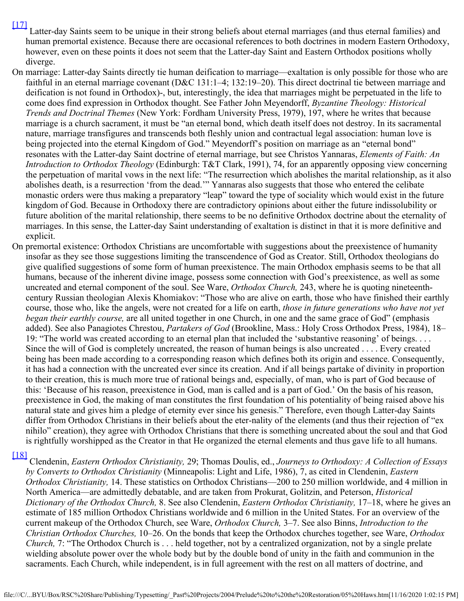<span id="page-11-0"></span>Latter-day Saints seem to be unique in their strong beliefs about eternal marriages (and thus eternal families) and human premortal existence. Because there are occasional references to both doctrines in modern Eastern Orthodoxy, however, even on these points it does not seem that the Latter-day Saint and Eastern Orthodox positions wholly diverge.

- On marriage: Latter-day Saints directly tie human deification to marriage—exaltation is only possible for those who are faithful in an eternal marriage covenant (D&C 131:1-4; 132:19-20). This direct doctrinal tie between marriage and deification is not found in Orthodox)-, but, interestingly, the idea that marriages might be perpetuated in the life to come does find expression in Orthodox thought. See Father John Meyendorff, *Byzantine Theology: Historical Trends and Doctrinal Themes* (New York: Fordham University Press, 1979), 197, where he writes that because marriage is a church sacrament, it must be "an eternal bond, which death itself does not destroy. In its sacramental nature, marriage transfigures and transcends both fleshly union and contractual legal association: human love is being projected into the eternal Kingdom of God." Meyendorff's position on marriage as an "eternal bond" resonates with the Latter-day Saint doctrine of eternal marriage, but see Christos Yannaras, *Elements of Faith: An Introduction to Orthodox Theology* (Edinburgh: T&T Clark, 1991), 74, for an apparently opposing view concerning the perpetuation of marital vows in the next life: "The resurrection which abolishes the marital relationship, as it also abolishes death, is a resurrection 'from the dead.'" Yannaras also suggests that those who entered the celibate monastic orders were thus making a preparatory "leap" toward the type of sociality which would exist in the future kingdom of God. Because in Orthodoxy there are contradictory opinions about either the future indissolubility or future abolition of the marital relationship, there seems to be no definitive Orthodox doctrine about the eternality of marriages. In this sense, the Latter-day Saint understanding of exaltation is distinct in that it is more definitive and explicit.
- On premortal existence: Orthodox Christians are uncomfortable with suggestions about the preexistence of humanity insofar as they see those suggestions limiting the transcendence of God as Creator. Still, Orthodox theologians do give qualified suggestions of some form of human preexistence. The main Orthodox emphasis seems to be that all humans, because of the inherent divine image, possess some connection with God's preexistence, as well as some uncreated and eternal component of the soul. See Ware, *Orthodox Church,* 243, where he is quoting nineteenthcentury Russian theologian Alexis Khomiakov: "Those who are alive on earth, those who have finished their earthly course, those who, like the angels, were not created for a life on earth, *those in future generations who have not yet began their earthly course,* are all united together in one Church, in one and the same grace of God" (emphasis added). See also Panagiotes Chrestou, *Partakers of God* (Brookline, Mass.: Holy Cross Orthodox Press, 1984), 18– 19: "The world was created according to an eternal plan that included the 'substantive reasoning' of beings. . . . Since the will of God is completely uncreated, the reason of human beings is also uncreated . . . . Every created being has been made according to a corresponding reason which defines both its origin and essence. Consequently, it has had a connection with the uncreated ever since its creation. And if all beings partake of divinity in proportion to their creation, this is much more true of rational beings and, especially, of man, who is part of God because of this: 'Because of his reason, preexistence in God, man is called and is a part of God.' On the basis of his reason, preexistence in God, the making of man constitutes the first foundation of his potentiality of being raised above his natural state and gives him a pledge of eternity ever since his genesis." Therefore, even though Latter-day Saints differ from Orthodox Christians in their beliefs about the eter-nality of the elements (and thus their rejection of "ex nihilo" creation), they agree with Orthodox Christians that there is something uncreated about the soul and that God is rightfully worshipped as the Creator in that He organized the eternal elements and thus gave life to all humans.

<span id="page-11-1"></span>[\[18\]](#page-2-0) Clendenin, *Eastern Orthodox Christianity,* 29; Thomas Doulis, ed., *Journeys to Orthodoxy: A Collection of Essays by Converts to Orthodox Christianity* (Minneapolis: Light and Life, 1986), 7, as cited in Clendenin, *Eastern Orthodox Christianity,* 14. These statistics on Orthodox Christians—200 to 250 million worldwide, and 4 million in North America—are admittedly debatable, and are taken from Prokurat, Golitzin, and Peterson, *Historical Dictionary of the Orthodox Church,* 8. See also Clendenin, *Eastern Orthodox Christianity,* 17–18, where he gives an estimate of 185 million Orthodox Christians worldwide and 6 million in the United States. For an overview of the current makeup of the Orthodox Church, see Ware, *Orthodox Church,* 3–7. See also Binns, *Introduction to the Christian Orthodox Churches,* 10–26. On the bonds that keep the Orthodox churches together, see Ware, *Orthodox Church,* 7: "The Orthodox Church is . . . held together, not by a centralized organization, not by a single prelate wielding absolute power over the whole body but by the double bond of unity in the faith and communion in the sacraments. Each Church, while independent, is in full agreement with the rest on all matters of doctrine, and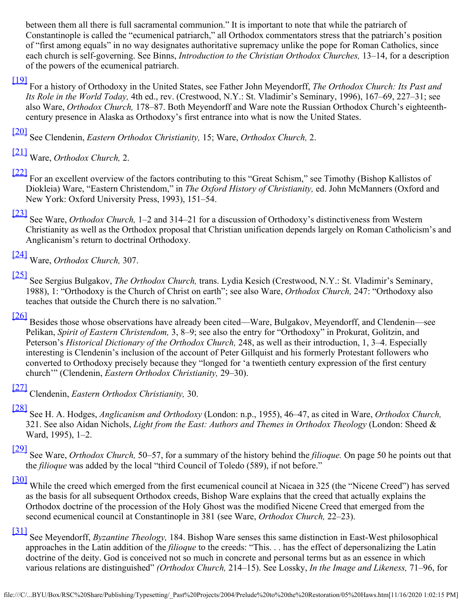between them all there is full sacramental communion." It is important to note that while the patriarch of Constantinople is called the "ecumenical patriarch," all Orthodox commentators stress that the patriarch's position of "first among equals" in no way designates authoritative supremacy unlike the pope for Roman Catholics, since each church is self-governing. See Binns, *Introduction to the Christian Orthodox Churches,* 13–14, for a description of the powers of the ecumenical patriarch.

<span id="page-12-0"></span>[\[19\]](#page-2-1) For a history of Orthodoxy in the United States, see Father John Meyendorff, *The Orthodox Church: Its Past and Its Role in the World Today,* 4th ed., rev. (Crestwood, N.Y.: St. Vladimir's Seminary, 1996), 167–69, 227–31; see also Ware, *Orthodox Church,* 178–87. Both Meyendorff and Ware note the Russian Orthodox Church's eighteenthcentury presence in Alaska as Orthodoxy's first entrance into what is now the United States.

<span id="page-12-1"></span>[\[20\]](#page-2-2) See Clendenin, *Eastern Orthodox Christianity,* 15; Ware, *Orthodox Church,* 2.

<span id="page-12-2"></span>[\[21\]](#page-2-3) Ware, *Orthodox Church,* 2.

<span id="page-12-3"></span>[\[22\]](#page-2-4) For an excellent overview of the factors contributing to this "Great Schism," see Timothy (Bishop Kallistos of Diokleia) Ware, "Eastern Christendom," in *The Oxford History of Christianity,* ed. John McManners (Oxford and New York: Oxford University Press, 1993), 151–54.

<span id="page-12-4"></span>[\[23\]](#page-2-5) See Ware, *Orthodox Church,* 1–2 and 314–21 for a discussion of Orthodoxy's distinctiveness from Western Christianity as well as the Orthodox proposal that Christian unification depends largely on Roman Catholicism's and Anglicanism's return to doctrinal Orthodoxy.

<span id="page-12-5"></span>[\[24\]](#page-2-6) Ware, *Orthodox Church,* 307.

<span id="page-12-6"></span>[\[25\]](#page-2-7) See Sergius Bulgakov, *The Orthodox Church,* trans. Lydia Kesich (Crestwood, N.Y.: St. Vladimir's Seminary, 1988), 1: "Orthodoxy is the Church of Christ on earth"; see also Ware, *Orthodox Church,* 247: "Orthodoxy also teaches that outside the Church there is no salvation."

<span id="page-12-7"></span>[\[26\]](#page-2-8) Besides those whose observations have already been cited—Ware, Bulgakov, Meyendorff, and Clendenin—see Pelikan, *Spirit of Eastern Christendom,* 3, 8–9; see also the entry for "Orthodoxy" in Prokurat, Golitzin, and Peterson's *Historical Dictionary of the Orthodox Church,* 248, as well as their introduction, 1, 3–4. Especially interesting is Clendenin's inclusion of the account of Peter Gillquist and his formerly Protestant followers who converted to Orthodoxy precisely because they "longed for 'a twentieth century expression of the first century church'" (Clendenin, *Eastern Orthodox Christianity,* 29–30).

<span id="page-12-8"></span>[\[27\]](#page-2-9) Clendenin, *Eastern Orthodox Christianity,* 30.

<span id="page-12-9"></span>[\[28\]](#page-2-10) See H. A. Hodges, *Anglicanism and Orthodoxy* (London: n.p., 1955), 46–47, as cited in Ware, *Orthodox Church,* 321. See also Aidan Nichols, *Light from the East: Authors and Themes in Orthodox Theology* (London: Sheed & Ward, 1995), 1–2.

<span id="page-12-10"></span>[\[29\]](#page-3-0) See Ware, *Orthodox Church,* 50–57, for a summary of the history behind the *filioque.* On page 50 he points out that the *filioque* was added by the local "third Council of Toledo (589), if not before."

<span id="page-12-11"></span>[\[30\]](#page-3-1) While the creed which emerged from the first ecumenical council at Nicaea in 325 (the "Nicene Creed") has served as the basis for all subsequent Orthodox creeds, Bishop Ware explains that the creed that actually explains the Orthodox doctrine of the procession of the Holy Ghost was the modified Nicene Creed that emerged from the second ecumenical council at Constantinople in 381 (see Ware, *Orthodox Church,* 22–23).

<span id="page-12-12"></span>[\[31\]](#page-3-2) See Meyendorff, *Byzantine Theology,* 184. Bishop Ware senses this same distinction in East-West philosophical approaches in the Latin addition of the *filioque* to the creeds: "This. . . has the effect of depersonalizing the Latin doctrine of the deity. God is conceived not so much in concrete and personal terms but as an essence in which various relations are distinguished" *(Orthodox Church,* 214–15). See Lossky, *In the Image and Likeness,* 71–96, for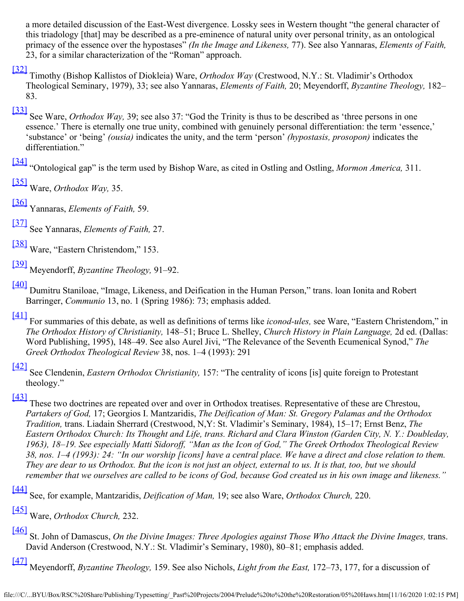a more detailed discussion of the East-West divergence. Lossky sees in Western thought "the general character of this triadology [that] may be described as a pre-eminence of natural unity over personal trinity, as an ontological primacy of the essence over the hypostases" *(In the Image and Likeness,* 77). See also Yannaras, *Elements of Faith,* 23, for a similar characterization of the "Roman" approach.

<span id="page-13-0"></span>[\[32\]](#page-3-3) Timothy (Bishop Kallistos of Diokleia) Ware, *Orthodox Way* (Crestwood, N.Y.: St. Vladimir's Orthodox Theological Seminary, 1979), 33; see also Yannaras, *Elements of Faith,* 20; Meyendorff, *Byzantine Theology,* 182– 83.

<span id="page-13-1"></span>[\[33\]](#page-3-4) See Ware, *Orthodox Way,* 39; see also 37: "God the Trinity is thus to be described as 'three persons in one essence.' There is eternally one true unity, combined with genuinely personal differentiation: the term 'essence,' 'substance' or 'being' *(ousia)* indicates the unity, and the term 'person' *(hypostasis, prosopon)* indicates the differentiation."

<span id="page-13-2"></span>[\[34\]](#page-3-5) "Ontological gap" is the term used by Bishop Ware, as cited in Ostling and Ostling, *Mormon America,* 311.

<span id="page-13-3"></span>[\[35\]](#page-3-6) Ware, *Orthodox Way,* 35.

<span id="page-13-4"></span>[\[36\]](#page-3-7) Yannaras, *Elements of Faith,* 59.

<span id="page-13-5"></span>[\[37\]](#page-3-8) See Yannaras, *Elements of Faith,* 27.

<span id="page-13-6"></span>[\[38\]](#page-4-0) Ware, "Eastern Christendom," 153.

<span id="page-13-7"></span>[\[39\]](#page-4-1) Meyendorff, *Byzantine Theology,* 91–92.

<span id="page-13-8"></span>[\[40\]](#page-4-2) Dumitru Staniloae, "Image, Likeness, and Deification in the Human Person," trans. loan Ionita and Robert Barringer, *Communio* 13, no. 1 (Spring 1986): 73; emphasis added.

<span id="page-13-9"></span>[\[41\]](#page-4-3) For summaries of this debate, as well as definitions of terms like *iconod-ules,* see Ware, "Eastern Christendom," in *The Orthodox History of Christianity,* 148–51; Bruce L. Shelley, *Church History in Plain Language,* 2d ed. (Dallas: Word Publishing, 1995), 148–49. See also Aurel Jivi, "The Relevance of the Seventh Ecumenical Synod," *The Greek Orthodox Theological Review* 38, nos. 1–4 (1993): 291

<span id="page-13-10"></span>[\[42\]](#page-4-4) See Clendenin, *Eastern Orthodox Christianity,* 157: "The centrality of icons [is] quite foreign to Protestant theology."

<span id="page-13-11"></span>[\[43\]](#page-4-5) These two doctrines are repeated over and over in Orthodox treatises. Representative of these are Chrestou, *Partakers of God,* 17; Georgios I. Mantzaridis, *The Deification of Man: St. Gregory Palamas and the Orthodox Tradition,* trans. Liadain Sherrard (Crestwood, N,Y: St. Vladimir's Seminary, 1984), 15–17; Ernst Benz, *The Eastern Orthodox Church: Its Thought and Life, trans. Richard and Clara Winston (Garden City, N. Y.: Doubleday, 1963), 18–19. See especially Matti Sidoroff, "Man as the Icon of God," The Greek Orthodox Theological Review 38, nos. 1–4 (1993): 24: "In our worship [icons] have a central place. We have a direct and close relation to them. They are dear to us Orthodox. But the icon is not just an object, external to us. It is that, too, but we should remember that we ourselves are called to be icons of God, because God created us in his own image and likeness."*

<span id="page-13-12"></span>[\[44\]](#page-4-6) See, for example, Mantzaridis, *Deification of Man,* 19; see also Ware, *Orthodox Church,* 220.

<span id="page-13-13"></span>[\[45\]](#page-4-7) Ware, *Orthodox Church,* 232.

<span id="page-13-14"></span>[\[46\]](#page-5-0) St. John of Damascus, *On the Divine Images: Three Apologies against Those Who Attack the Divine Images,* trans. David Anderson (Crestwood, N.Y.: St. Vladimir's Seminary, 1980), 80–81; emphasis added.

<span id="page-13-15"></span>[\[47\]](#page-5-1) Meyendorff, *Byzantine Theology,* 159. See also Nichols, *Light from the East,* 172–73, 177, for a discussion of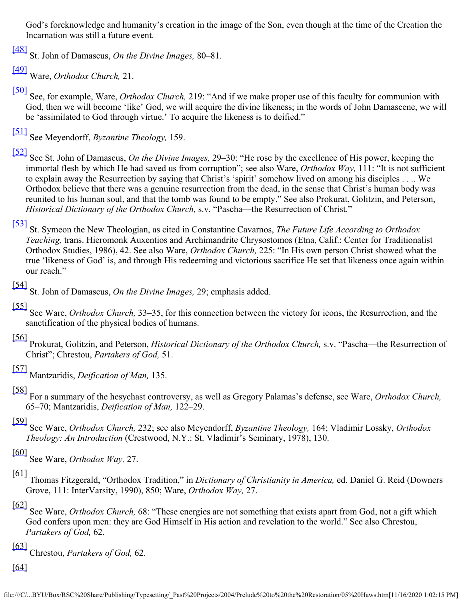God's foreknowledge and humanity's creation in the image of the Son, even though at the time of the Creation the Incarnation was still a future event.

<span id="page-14-0"></span>[\[48\]](#page-5-2) St. John of Damascus, *On the Divine Images,* 80–81.

<span id="page-14-1"></span>[\[49\]](#page-5-3) Ware, *Orthodox Church,* 21.

<span id="page-14-2"></span>[\[50\]](#page-5-4) See, for example, Ware, *Orthodox Church,* 219: "And if we make proper use of this faculty for communion with God, then we will become 'like' God, we will acquire the divine likeness; in the words of John Damascene, we will be 'assimilated to God through virtue.' To acquire the likeness is to deified."

<span id="page-14-3"></span>[\[51\]](#page-5-5) See Meyendorff, *Byzantine Theology,* 159.

<span id="page-14-4"></span>[\[52\]](#page-5-6) See St. John of Damascus, *On the Divine Images,* 29–30: "He rose by the excellence of His power, keeping the immortal flesh by which He had saved us from corruption"; see also Ware, *Orthodox Way,* 111: "It is not sufficient to explain away the Resurrection by saying that Christ's 'spirit' somehow lived on among his disciples . . .. We Orthodox believe that there was a genuine resurrection from the dead, in the sense that Christ's human body was reunited to his human soul, and that the tomb was found to be empty." See also Prokurat, Golitzin, and Peterson, *Historical Dictionary of the Orthodox Church,* s.v. "Pascha—the Resurrection of Christ."

<span id="page-14-5"></span>[\[53\]](#page-5-7) St. Symeon the New Theologian, as cited in Constantine Cavarnos, *The Future Life According to Orthodox Teaching,* trans. Hieromonk Auxentios and Archimandrite Chrysostomos (Etna, Calif.: Center for Traditionalist Orthodox Studies, 1986), 42. See also Ware, *Orthodox Church,* 225: "In His own person Christ showed what the true 'likeness of God' is, and through His redeeming and victorious sacrifice He set that likeness once again within our reach."

<span id="page-14-6"></span>[\[54\]](#page-5-7) St. John of Damascus, *On the Divine Images,* 29; emphasis added.

<span id="page-14-7"></span>[\[55\]](#page-5-8) See Ware, *Orthodox Church,* 33–35, for this connection between the victory for icons, the Resurrection, and the sanctification of the physical bodies of humans.

<span id="page-14-8"></span>[\[56\]](#page-5-9) Prokurat, Golitzin, and Peterson, *Historical Dictionary of the Orthodox Church,* s.v. "Pascha—the Resurrection of Christ"; Chrestou, *Partakers of God,* 51.

<span id="page-14-9"></span>[\[57\]](#page-6-0) Mantzaridis, *Deification of Man,* 135.

<span id="page-14-10"></span>[\[58\]](#page-6-1) For a summary of the hesychast controversy, as well as Gregory Palamas's defense, see Ware, *Orthodox Church,* 65–70; Mantzaridis, *Deification of Man,* 122–29.

<span id="page-14-11"></span>[\[59\]](#page-6-2) See Ware, *Orthodox Church,* 232; see also Meyendorff, *Byzantine Theology,* 164; Vladimir Lossky, *Orthodox Theology: An Introduction* (Crestwood, N.Y.: St. Vladimir's Seminary, 1978), 130.

<span id="page-14-12"></span>[\[60\]](#page-6-3) See Ware, *Orthodox Way,* 27.

<span id="page-14-13"></span>[\[61\]](#page-6-4) Thomas Fitzgerald, "Orthodox Tradition," in *Dictionary of Christianity in America,* ed. Daniel G. Reid (Downers Grove, 111: InterVarsity, 1990), 850; Ware, *Orthodox Way,* 27.

<span id="page-14-14"></span>[\[62\]](#page-6-5) See Ware, *Orthodox Church,* 68: "These energies are not something that exists apart from God, not a gift which God confers upon men: they are God Himself in His action and revelation to the world." See also Chrestou, *Partakers of God,* 62.

<span id="page-14-15"></span>[\[63\]](#page-6-6) Chrestou, *Partakers of God,* 62.

[\[64\]](#page-6-7)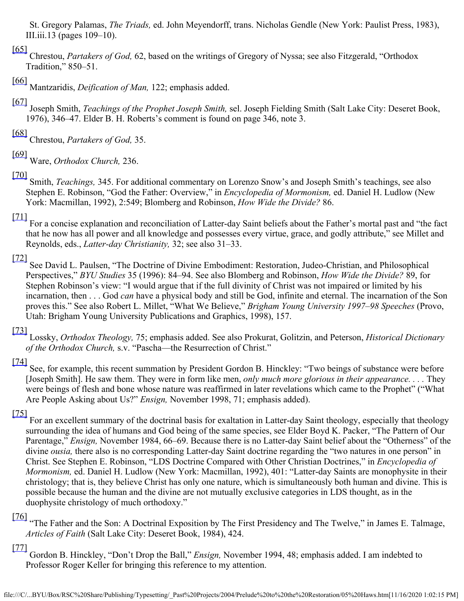<span id="page-15-0"></span>St. Gregory Palamas, *The Triads,* ed. John Meyendorff, trans. Nicholas Gendle (New York: Paulist Press, 1983), III.iii.13 (pages 109–10).

<span id="page-15-1"></span>[\[65\]](#page-6-8) Chrestou, *Partakers of God,* 62, based on the writings of Gregory of Nyssa; see also Fitzgerald, "Orthodox Tradition," 850–51.

<span id="page-15-2"></span>[\[66\]](#page-7-0) Mantzaridis, *Deification of Man,* 122; emphasis added.

<span id="page-15-3"></span>[\[67\]](#page-7-1) Joseph Smith, *Teachings of the Prophet Joseph Smith,* sel. Joseph Fielding Smith (Salt Lake City: Deseret Book, 1976), 346–47. Elder B. H. Roberts's comment is found on page 346, note 3.

<span id="page-15-4"></span>[\[68\]](#page-7-2) Chrestou, *Partakers of God,* 35.

<span id="page-15-5"></span>[\[69\]](#page-7-3) Ware, *Orthodox Church,* 236.

<span id="page-15-6"></span>[\[70\]](#page-7-4) Smith, *Teachings,* 345. For additional commentary on Lorenzo Snow's and Joseph Smith's teachings, see also Stephen E. Robinson, "God the Father: Overview," in *Encyclopedia of Mormonism,* ed. Daniel H. Ludlow (New York: Macmillan, 1992), 2:549; Blomberg and Robinson, *How Wide the Divide?* 86.

<span id="page-15-7"></span>[\[71\]](#page-7-5) For a concise explanation and reconciliation of Latter-day Saint beliefs about the Father's mortal past and "the fact that he now has all power and all knowledge and possesses every virtue, grace, and godly attribute," see Millet and Reynolds, eds., *Latter-day Christianity,* 32; see also 31–33.

<span id="page-15-8"></span>[\[72\]](#page-7-6) See David L. Paulsen, "The Doctrine of Divine Embodiment: Restoration, Judeo-Christian, and Philosophical Perspectives," *BYU Studies* 35 (1996): 84–94. See also Blomberg and Robinson, *How Wide the Divide?* 89, for Stephen Robinson's view: "I would argue that if the full divinity of Christ was not impaired or limited by his incarnation, then . . . God *can* have a physical body and still be God, infinite and eternal. The incarnation of the Son proves this." See also Robert L. Millet, "What We Believe," *Brigham Young University 1997–98 Speeches* (Provo, Utah: Brigham Young University Publications and Graphics, 1998), 157.

<span id="page-15-9"></span>[\[73\]](#page-7-7) Lossky, *Orthodox Theology,* 75; emphasis added. See also Prokurat, Golitzin, and Peterson, *Historical Dictionary of the Orthodox Church,* s.v. "Pascha—the Resurrection of Christ."

<span id="page-15-10"></span>[\[74\]](#page-7-8) See, for example, this recent summation by President Gordon B. Hinckley: "Two beings of substance were before [Joseph Smith]. He saw them. They were in form like men, *only much more glorious in their appearance. . . .* They were beings of flesh and bone whose nature was reaffirmed in later revelations which came to the Prophet" ("What Are People Asking about Us?" *Ensign,* November 1998, 71; emphasis added).

<span id="page-15-11"></span>[\[75\]](#page-7-9) For an excellent summary of the doctrinal basis for exaltation in Latter-day Saint theology, especially that theology surrounding the idea of humans and God being of the same species, see Elder Boyd K. Packer, "The Pattern of Our Parentage," *Ensign,* November 1984, 66–69. Because there is no Latter-day Saint belief about the "Otherness" of the divine *ousia,* there also is no corresponding Latter-day Saint doctrine regarding the "two natures in one person" in Christ. See Stephen E. Robinson, "LDS Doctrine Compared with Other Christian Doctrines," in *Encyclopedia of Mormonism,* ed. Daniel H. Ludlow (New York: Macmillan, 1992), 401: "Latter-day Saints are monophysite in their christology; that is, they believe Christ has only one nature, which is simultaneously both human and divine. This is possible because the human and the divine are not mutually exclusive categories in LDS thought, as in the duophysite christology of much orthodoxy."

<span id="page-15-12"></span>[\[76\]](#page-8-0) "The Father and the Son: A Doctrinal Exposition by The First Presidency and The Twelve," in James E. Talmage, *Articles of Faith* (Salt Lake City: Deseret Book, 1984), 424.

<span id="page-15-13"></span>[\[77\]](#page-8-1) Gordon B. Hinckley, "Don't Drop the Ball," *Ensign,* November 1994, 48; emphasis added. I am indebted to Professor Roger Keller for bringing this reference to my attention.